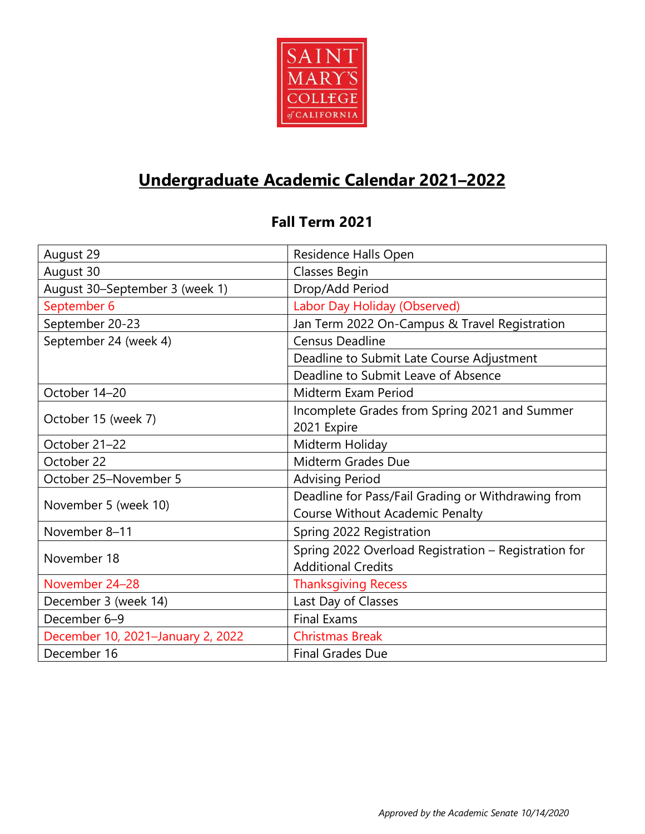

# **Undergraduate Academic Calendar 2021–2022**

#### **Fall Term 2021**

| August 29                         | Residence Halls Open                                 |
|-----------------------------------|------------------------------------------------------|
| August 30                         | Classes Begin                                        |
| August 30-September 3 (week 1)    | Drop/Add Period                                      |
| September 6                       | Labor Day Holiday (Observed)                         |
| September 20-23                   | Jan Term 2022 On-Campus & Travel Registration        |
| September 24 (week 4)             | <b>Census Deadline</b>                               |
|                                   | Deadline to Submit Late Course Adjustment            |
|                                   | Deadline to Submit Leave of Absence                  |
| October 14-20                     | Midterm Exam Period                                  |
|                                   | Incomplete Grades from Spring 2021 and Summer        |
| October 15 (week 7)               | 2021 Expire                                          |
| October 21-22                     | Midterm Holiday                                      |
| October 22                        | Midterm Grades Due                                   |
| October 25-November 5             | <b>Advising Period</b>                               |
| November 5 (week 10)              | Deadline for Pass/Fail Grading or Withdrawing from   |
|                                   | Course Without Academic Penalty                      |
| November 8-11                     | Spring 2022 Registration                             |
| November 18                       | Spring 2022 Overload Registration - Registration for |
|                                   | <b>Additional Credits</b>                            |
| November 24-28                    | <b>Thanksgiving Recess</b>                           |
| December 3 (week 14)              | Last Day of Classes                                  |
| December 6-9                      | <b>Final Exams</b>                                   |
| December 10, 2021-January 2, 2022 | <b>Christmas Break</b>                               |
| December 16                       | <b>Final Grades Due</b>                              |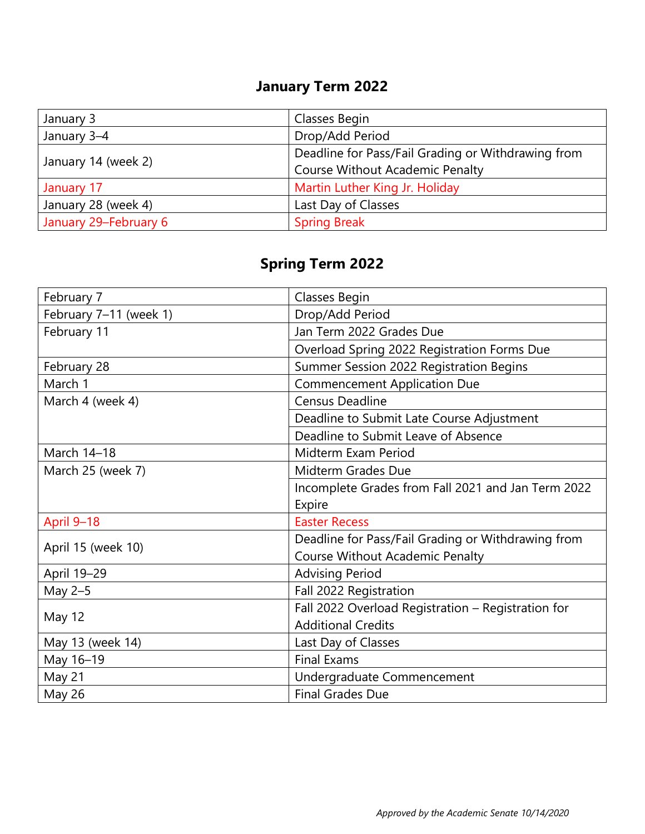## **January Term 2022**

| January 3             | Classes Begin                                      |
|-----------------------|----------------------------------------------------|
| January 3-4           | Drop/Add Period                                    |
| January 14 (week 2)   | Deadline for Pass/Fail Grading or Withdrawing from |
|                       | <b>Course Without Academic Penalty</b>             |
| January 17            | Martin Luther King Jr. Holiday                     |
| January 28 (week 4)   | Last Day of Classes                                |
| January 29-February 6 | <b>Spring Break</b>                                |

## **Spring Term 2022**

| February 7             | Classes Begin                                      |
|------------------------|----------------------------------------------------|
| February 7-11 (week 1) | Drop/Add Period                                    |
| February 11            | Jan Term 2022 Grades Due                           |
|                        | Overload Spring 2022 Registration Forms Due        |
| February 28            | Summer Session 2022 Registration Begins            |
| March 1                | <b>Commencement Application Due</b>                |
| March 4 (week 4)       | <b>Census Deadline</b>                             |
|                        | Deadline to Submit Late Course Adjustment          |
|                        | Deadline to Submit Leave of Absence                |
| March 14-18            | Midterm Exam Period                                |
| March 25 (week 7)      | Midterm Grades Due                                 |
|                        | Incomplete Grades from Fall 2021 and Jan Term 2022 |
|                        | Expire                                             |
| April 9-18             | <b>Easter Recess</b>                               |
| April 15 (week 10)     | Deadline for Pass/Fail Grading or Withdrawing from |
|                        | <b>Course Without Academic Penalty</b>             |
| April 19-29            | <b>Advising Period</b>                             |
| May 2-5                | Fall 2022 Registration                             |
| May 12                 | Fall 2022 Overload Registration - Registration for |
|                        | <b>Additional Credits</b>                          |
| May 13 (week 14)       | Last Day of Classes                                |
| May 16-19              | <b>Final Exams</b>                                 |
| May 21                 | Undergraduate Commencement                         |
| <b>May 26</b>          | <b>Final Grades Due</b>                            |